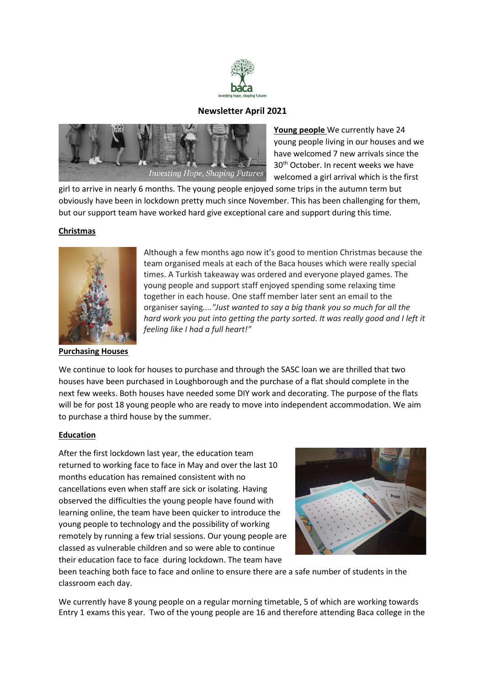

## **Newsletter April 2021**



**Young people** We currently have 24 young people living in our houses and we have welcomed 7 new arrivals since the 30th October. In recent weeks we have welcomed a girl arrival which is the first

girl to arrive in nearly 6 months. The young people enjoyed some trips in the autumn term but obviously have been in lockdown pretty much since November. This has been challenging for them, but our support team have worked hard give exceptional care and support during this time.

### **Christmas**



#### **Purchasing Houses**

Although a few months ago now it's good to mention Christmas because the team organised meals at each of the Baca houses which were really special times. A Turkish takeaway was ordered and everyone played games. The young people and support staff enjoyed spending some relaxing time together in each house. One staff member later sent an email to the organiser saying*...."Just wanted to say a big thank you so much for all the*  hard work you put into getting the party sorted. It was really good and I left it *feeling like I had a full heart!"*

We continue to look for houses to purchase and through the SASC loan we are thrilled that two houses have been purchased in Loughborough and the purchase of a flat should complete in the next few weeks. Both houses have needed some DIY work and decorating. The purpose of the flats will be for post 18 young people who are ready to move into independent accommodation. We aim to purchase a third house by the summer.

#### **Education**

After the first lockdown last year, the education team returned to working face to face in May and over the last 10 months education has remained consistent with no cancellations even when staff are sick or isolating. Having observed the difficulties the young people have found with learning online, the team have been quicker to introduce the young people to technology and the possibility of working remotely by running a few trial sessions. Our young people are classed as vulnerable children and so were able to continue their education face to face during lockdown. The team have



been teaching both face to face and online to ensure there are a safe number of students in the classroom each day.

We currently have 8 young people on a regular morning timetable, 5 of which are working towards Entry 1 exams this year. Two of the young people are 16 and therefore attending Baca college in the